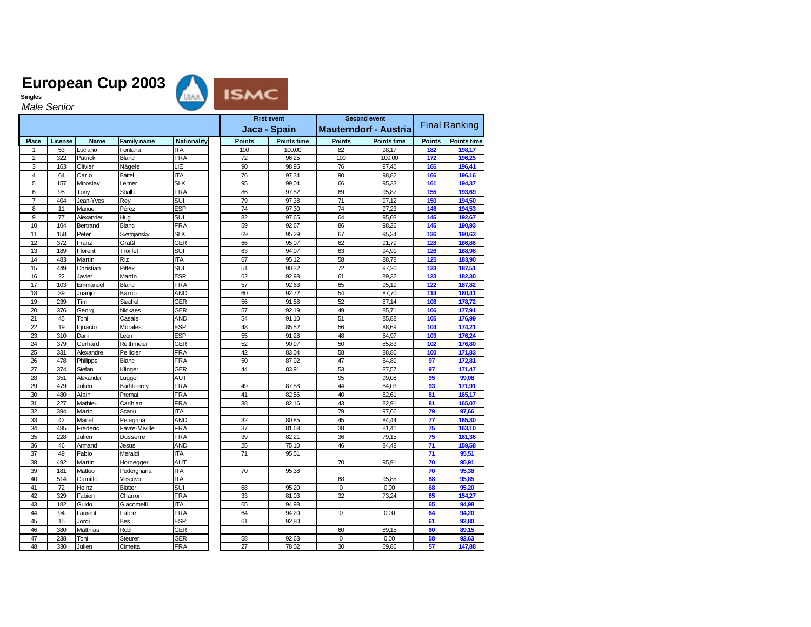

**Singles** *Male Senior*

|                |         |             |                    |                    | <b>First event</b> |                    | <b>Second event</b> |                              |                 |                      |  |
|----------------|---------|-------------|--------------------|--------------------|--------------------|--------------------|---------------------|------------------------------|-----------------|----------------------|--|
|                |         |             |                    |                    |                    | Jaca - Spain       |                     | <b>Mauterndorf - Austria</b> |                 | <b>Final Ranking</b> |  |
| Place          | License | <b>Name</b> | <b>Family name</b> | <b>Nationality</b> | <b>Points</b>      | <b>Points time</b> | <b>Points</b>       | <b>Points time</b>           | <b>Points</b>   | <b>Points time</b>   |  |
| -1             | 53      | Luciano     | Fontana            | <b>ITA</b>         | 100                | 100,00             | 82                  | 98,17                        | 182             | 198,17               |  |
| $\overline{2}$ | 322     | Patrick     | Blanc              | <b>FRA</b>         | 72                 | 96,25              | 100                 | 100,00                       | 172             | 196,25               |  |
| 3              | 163     | Olivier     | Nägele             | LIЕ                | 90                 | 98,95              | 76                  | 97,46                        | 166             | 196,41               |  |
| $\overline{4}$ | 64      | Carlo       | <b>Battel</b>      | <b>ITA</b>         | 76                 | 97,34              | 90                  | 98.82                        | 166             | 196,16               |  |
| 5              | 157     | Miroslav    | Leitner            | <b>SLK</b>         | 95                 | 99,04              | 66                  | 95,33                        | 161             | 194,37               |  |
| 6              | 95      | Tony        | Sbalbi             | <b>FRA</b>         | 86                 | 97,82              | 69                  | 95,87                        | 155             | 193,69               |  |
| $\overline{7}$ | 404     | Jean-Yves   | Rey                | SUI                | 79                 | 97,38              | 71                  | 97,12                        | 150             | 194,50               |  |
| 8              | 11      | Manuel      | Pérez              | <b>ESP</b>         | 74                 | 97,30              | 74                  | 97,23                        | 148             | 194,53               |  |
| 9              | 77      | Alexander   | Hug                | SUI                | 82                 | 97,65              | 64                  | 95,03                        | 146             | 192.67               |  |
| 10             | 104     | Bertrand    | <b>Blanc</b>       | FRA                | 59                 | 92,67              | 86                  | 98,26                        | 145             | 190,93               |  |
| 11             | 158     | Peter       | Svatojansky        | <b>SLK</b>         | 69                 | 95,29              | 67                  | 95,34                        | 136             | 190,63               |  |
| 12             | 372     | Franz       | Graßl              | GER                | 66                 | 95,07              | 62                  | 91,79                        | 128             | 186,86               |  |
| 13             | 189     | Florent     | Troillet           | SUI                | 63                 | 94,07              | 63                  | 94,91                        | 126             | 188,98               |  |
| 14             | 483     | Martin      | Riz                | <b>ITA</b>         | 67                 | 95,12              | 58                  | 88,78                        | 125             | 183,90               |  |
| 15             | 449     | Christian   | Pittex             | SUI                | 51                 | 90,32              | 72                  | 97,20                        | 123             | 187,51               |  |
| 16             | 22      | Javier      | Martín             | <b>ESP</b>         | 62                 | 92,98              | 61                  | 89,32                        | 123             | 182.30               |  |
| 17             | 103     | Emmanuel    | Blanc              | <b>FRA</b>         | 57                 | 92,63              | 65                  | 95,19                        | 122             | 187,82               |  |
| 18             | 39      | Juanjo      | Barrio             | AND                | 60                 | 92,72              | 54                  | 87,70                        | 114             | 180,41               |  |
| 19             | 239     | Tim         | Stachel            | GER                | 56                 | 91,58              | 52                  | 87,14                        | 108             | 178,72               |  |
| 20             | 376     | Georg       | Nickaes            | GER                | 57                 | 92,19              | 49                  | 85,71                        | 106             | 177,91               |  |
| 21             | 45      | Toni        | Casals             | AND                | 54                 | 91,10              | 51                  | 85,88                        | 105             | 176,99               |  |
| 22             | 19      | Ignacio     | Morales            | <b>ESP</b>         | 48                 | 85,52              | 56                  | 88,69                        | 104             | 174,21               |  |
| 23             | 310     | Dani        | León               | <b>ESP</b>         | 55                 | 91,28              | 48                  | 84,97                        | 103             | 176,24               |  |
| 24             | 379     | Gerhard     | Reithmeier         | <b>GER</b>         | 52                 | 90.97              | 50                  | 85,83                        | 102             | 176,80               |  |
| 25             | 331     | Alexandre   | Pellicier          | FRA                | 42                 | 83,04              | 58                  | 88,80                        | 100             | 171,83               |  |
| 26             | 478     | Philippe    | <b>Blanc</b>       | FRA                | 50                 | 87,92              | 47                  | 84,89                        | 97              | 172,81               |  |
| 27             | 374     | Stefan      | Klinger            | GER                | 44                 | 83,91              | 53                  | 87,57                        | 97              | 171,47               |  |
| 28             | 351     | Alexander   | Lugger             | AUT                |                    |                    | 95                  | 99,08                        | 95              | 99,08                |  |
| 29             | 479     | Julien      | Barhtelemy         | <b>FRA</b>         | 49                 | 87,88              | 44                  | 84,03                        | 93              | 171,91               |  |
| 30             | 480     | Alain       | Premat             | FRA                | 41                 | 82,56              | 40                  | 82,61                        | 81              | 165,17               |  |
| 31             | 227     | Mathieu     | Carlhian           | FRA                | 38                 | 82.16              | 43                  | 82,91                        | 81              | 165,07               |  |
| 32             | 394     | Mario       | Scanu              | ITA                |                    |                    | 79                  | 97,66                        | 79              | 97,66                |  |
| 33             | 42      | Manel       | Pelegrina          | AND                | 32                 | 80,85              | 45                  | 84,44                        | $\overline{77}$ | 165,30               |  |
| 34             | 485     | Frederic    | Favre-Miville      | <b>FRA</b>         | 37                 | 81,68              | 38                  | 81,41                        | 75              | 163,10               |  |
| 35             | 228     | Julien      | Dusserre           | FRA                | 39                 | 82.21              | 36                  | 79,15                        | 75              | 161,36               |  |
| 36             | 46      | Armand      | Jesus              | AND                | 25                 | 75,10              | 46                  | 84,48                        | 71              | 159,58               |  |
| 37             | 49      | Fabio       | Meraldi            | <b>ITA</b>         | 71                 | 95,51              |                     |                              | 71              | 95,51                |  |
| 38             | 492     | Martin      | Hornegger          | AUT                |                    |                    | 70                  | 95,91                        | 70              | 95,91                |  |
| 39             | 181     | Matteo      | Pedergnana         | <b>ITA</b>         | 70                 | 95,38              |                     |                              | 70              | 95,38                |  |
| 40             | 514     | Camillo     | Vescovo            | <b>ITA</b>         |                    |                    | 68                  | 95,85                        | 68              | 95,85                |  |
| 41             | 72      | Heinz       | <b>Blatter</b>     | SUI                | 68                 | 95,20              | 0                   | 0,00                         | 68              | 95,20                |  |
| 42             | 329     | Fabien      | Charron            | <b>FRA</b>         | 33                 | 81,03              | 32                  | 73,24                        | 65              | 154,27               |  |
| 43             | 182     | Guido       | Giacomelli         | <b>ITA</b>         | 65                 | 94,98              |                     |                              | 65              | 94,98                |  |
| 44             | 94      | Laurent     | Fabre              | <b>FRA</b>         | 64                 | 94,20              | $\Omega$            | 0.00                         | 64              | 94,20                |  |
| 45             | 15      | Jordi       | Bes                | <b>ESP</b>         | 61                 | 92,80              |                     |                              | 61              | 92,80                |  |
| 46             | 380     | Matthias    | Robl               | <b>GER</b>         |                    |                    | 60                  | 89,15                        | 60              | 89,15                |  |
| 47             | 238     | Toni        | Steurer            | GER                | 58                 | 92,63              | 0                   | 0,00                         | 58              | 92,63                |  |
| 48             | 330     | Julien      | Cimetta            | <b>FRA</b>         | 27                 | 78,02              | 30                  | 69,86                        | 57              | 147,88               |  |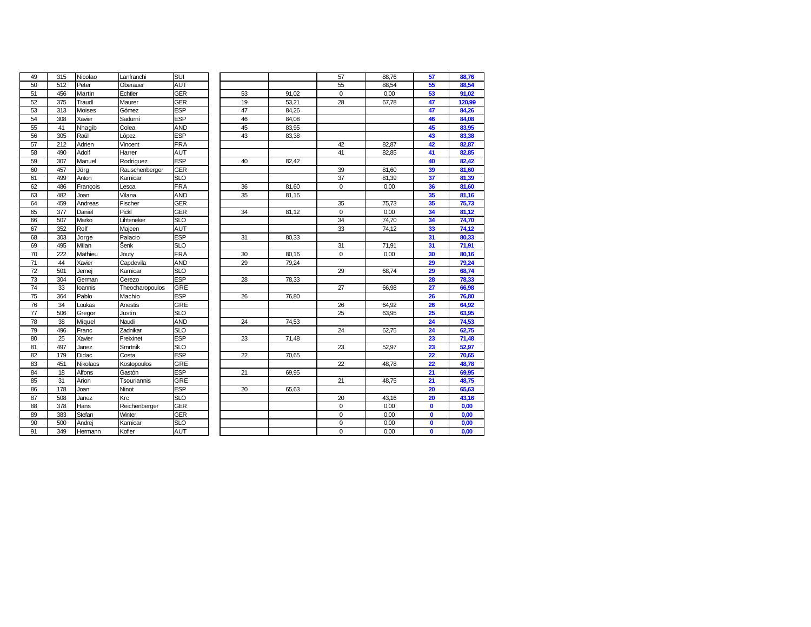| 49 | 315 | Nicolao  | Lanfranchi      | SUI        |    |       | 57          | 88,76 | 57           | 88,76  |
|----|-----|----------|-----------------|------------|----|-------|-------------|-------|--------------|--------|
| 50 | 512 | Peter    | Oberauer        | AUT        |    |       | 55          | 88,54 | 55           | 88,54  |
| 51 | 456 | Martin   | Echtler         | <b>GER</b> | 53 | 91,02 | $\mathbf 0$ | 0,00  | 53           | 91,02  |
| 52 | 375 | Traudl   | Maurer          | <b>GER</b> | 19 | 53,21 | 28          | 67,78 | 47           | 120,99 |
| 53 | 313 | Moises   | Gómez           | <b>ESP</b> | 47 | 84,26 |             |       | 47           | 84,26  |
| 54 | 308 | Xavier   | Sadurní         | <b>ESP</b> | 46 | 84,08 |             |       | 46           | 84,08  |
| 55 | 41  | Nhagib   | Colea           | AND        | 45 | 83,95 |             |       | 45           | 83,95  |
| 56 | 305 | Raúl     | López           | <b>ESP</b> | 43 | 83,38 |             |       | 43           | 83,38  |
| 57 | 212 | Adrien   | Vincent         | <b>FRA</b> |    |       | 42          | 82,87 | 42           | 82,87  |
| 58 | 490 | Adolf    | Harrer          | <b>AUT</b> |    |       | 41          | 82,85 | 41           | 82,85  |
| 59 | 307 | Manuel   | Rodriguez       | <b>ESP</b> | 40 | 82,42 |             |       | 40           | 82,42  |
| 60 | 457 | Jörg     | Rauschenberger  | <b>GER</b> |    |       | 39          | 81,60 | 39           | 81,60  |
| 61 | 499 | Anton    | Karnicar        | <b>SLO</b> |    |       | 37          | 81,39 | 37           | 81,39  |
| 62 | 486 | François | Lesca           | <b>FRA</b> | 36 | 81,60 | 0           | 0,00  | 36           | 81,60  |
| 63 | 482 | Joan     | Vilana          | AND        | 35 | 81,16 |             |       | 35           | 81,16  |
| 64 | 459 | Andreas  | Fischer         | <b>GER</b> |    |       | 35          | 75,73 | 35           | 75,73  |
| 65 | 377 | Daniel   | Pickl           | <b>GER</b> | 34 | 81,12 | $\Omega$    | 0,00  | 34           | 81,12  |
| 66 | 507 | Marko    | Lihteneker      | <b>SLO</b> |    |       | 34          | 74,70 | 34           | 74,70  |
| 67 | 352 | Rolf     | Majcen          | AUT        |    |       | 33          | 74,12 | 33           | 74,12  |
| 68 | 303 | Jorge    | Palacio         | <b>ESP</b> | 31 | 80,33 |             |       | 31           | 80,33  |
| 69 | 495 | Milan    | Šenk            | <b>SLO</b> |    |       | 31          | 71,91 | 31           | 71,91  |
| 70 | 222 | Mathieu  | Jouty           | <b>FRA</b> | 30 | 80,16 | $\mathbf 0$ | 0,00  | 30           | 80,16  |
| 71 | 44  | Xavier   | Capdevila       | AND        | 29 | 79,24 |             |       | 29           | 79,24  |
| 72 | 501 | Jernej   | Karnicar        | <b>SLO</b> |    |       | 29          | 68,74 | 29           | 68,74  |
| 73 | 304 | German   | Cerezo          | <b>ESP</b> | 28 | 78,33 |             |       | 28           | 78,33  |
| 74 | 33  | loannis  | Theocharopoulos | GRE        |    |       | 27          | 66,98 | 27           | 66,98  |
| 75 | 364 | Pablo    | Machio          | <b>ESP</b> | 26 | 76,80 |             |       | 26           | 76,80  |
| 76 | 34  | Loukas   | Anestis         | <b>GRE</b> |    |       | 26          | 64,92 | 26           | 64,92  |
| 77 | 506 | Gregor   | Justin          | <b>SLO</b> |    |       | 25          | 63,95 | 25           | 63,95  |
| 78 | 38  | Miquel   | Naudi           | <b>AND</b> | 24 | 74,53 |             |       | 24           | 74,53  |
| 79 | 496 | Franc    | Zadnikar        | <b>SLO</b> |    |       | 24          | 62,75 | 24           | 62,75  |
| 80 | 25  | Xavier   | Freixinet       | <b>ESP</b> | 23 | 71,48 |             |       | 23           | 71,48  |
| 81 | 497 | Janez    | Smrtnik         | <b>SLO</b> |    |       | 23          | 52,97 | 23           | 52,97  |
| 82 | 179 | Didac    | Costa           | <b>ESP</b> | 22 | 70,65 |             |       | 22           | 70,65  |
| 83 | 451 | Nikolaos | Kostopoulos     | GRE        |    |       | 22          | 48,78 | 22           | 48,78  |
| 84 | 18  | Alfons   | Gastón          | <b>ESP</b> | 21 | 69,95 |             |       | 21           | 69,95  |
| 85 | 31  | Arion    | Tsouriannis     | GRE        |    |       | 21          | 48,75 | 21           | 48,75  |
| 86 | 178 | Joan     | Ninot           | <b>ESP</b> | 20 | 65,63 |             |       | 20           | 65,63  |
| 87 | 508 | Janez    | Krc             | <b>SLO</b> |    |       | 20          | 43,16 | 20           | 43,16  |
| 88 | 378 | Hans     | Reichenberger   | <b>GER</b> |    |       | $\mathbf 0$ | 0,00  | $\mathbf 0$  | 0,00   |
| 89 | 383 | Stefan   | Winter          | <b>GER</b> |    |       | 0           | 0,00  | $\mathbf 0$  | 0,00   |
| 90 | 500 | Andrej   | Karnicar        | <b>SLO</b> |    |       | 0           | 0,00  | $\mathbf{0}$ | 0,00   |
| 91 | 349 | Hermann  | Kofler          | <b>AUT</b> |    |       | 0           | 0,00  | $\mathbf{0}$ | 0,00   |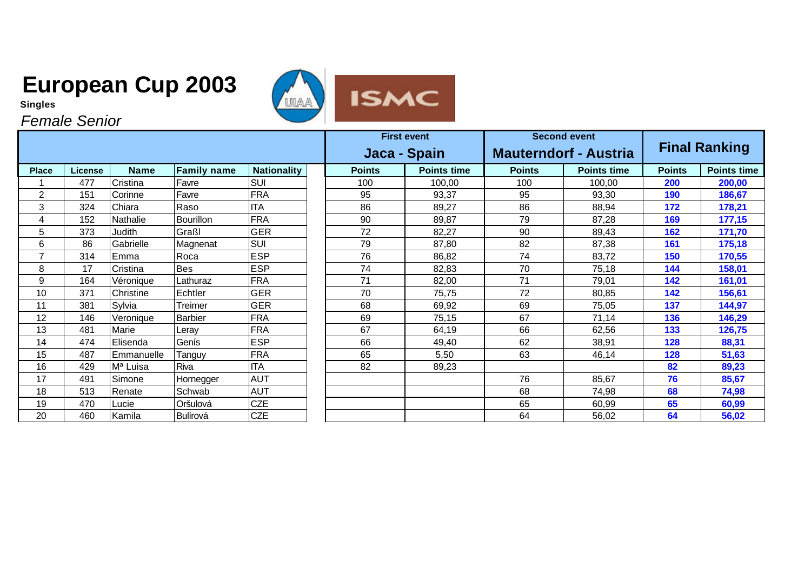**Singles**

*Female Senior*



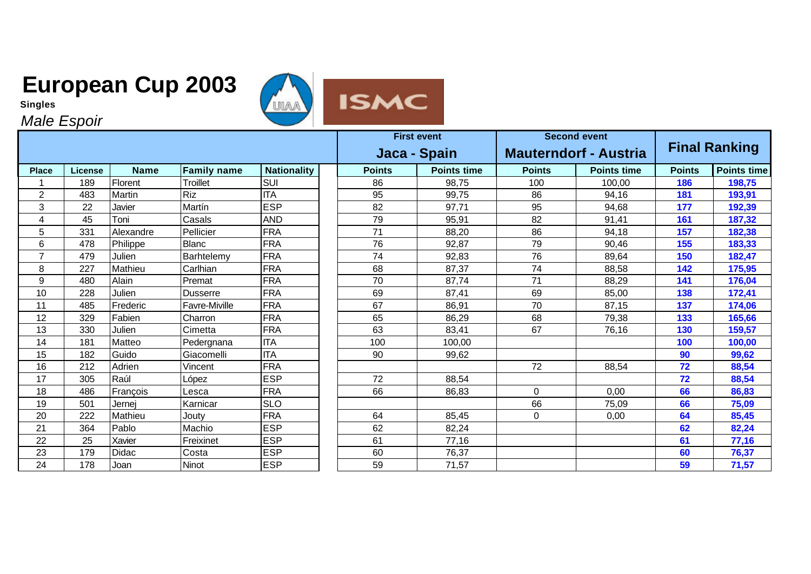



*Male Espoir*

|                |                |             |                    |                    |  |               | <b>First event</b> |                              | <b>Second event</b> | <b>Final Ranking</b> |                    |
|----------------|----------------|-------------|--------------------|--------------------|--|---------------|--------------------|------------------------------|---------------------|----------------------|--------------------|
|                |                |             |                    |                    |  | Jaca - Spain  |                    | <b>Mauterndorf - Austria</b> |                     |                      |                    |
| <b>Place</b>   | <b>License</b> | <b>Name</b> | <b>Family name</b> | <b>Nationality</b> |  | <b>Points</b> | <b>Points time</b> | <b>Points</b>                | <b>Points time</b>  | <b>Points</b>        | <b>Points time</b> |
|                | 189            | Florent     | Troillet           | SUI                |  | 86            | 98,75              | 100                          | 100,00              | 186                  | 198,75             |
| $\overline{2}$ | 483            | Martin      | <b>Riz</b>         | <b>ITA</b>         |  | 95            | 99,75              | 86                           | 94,16               | 181                  | 193,91             |
| 3              | 22             | Javier      | Martín             | <b>ESP</b>         |  | 82            | 97,71              | 95                           | 94,68               | 177                  | 192,39             |
| 4              | 45             | Toni        | Casals             | <b>AND</b>         |  | 79            | 95,91              | 82                           | 91,41               | 161                  | 187,32             |
| 5              | 331            | Alexandre   | Pellicier          | <b>FRA</b>         |  | 71            | 88,20              | 86                           | 94,18               | 157                  | 182,38             |
| 6              | 478            | Philippe    | <b>Blanc</b>       | <b>FRA</b>         |  | 76            | 92,87              | 79                           | 90,46               | 155                  | 183,33             |
| $\overline{7}$ | 479            | Julien      | Barhtelemy         | <b>FRA</b>         |  | 74            | 92,83              | 76                           | 89,64               | 150                  | 182,47             |
| 8              | 227            | Mathieu     | Carlhian           | <b>FRA</b>         |  | 68            | 87,37              | 74                           | 88,58               | 142                  | 175,95             |
| 9              | 480            | Alain       | Premat             | <b>FRA</b>         |  | 70            | 87,74              | 71                           | 88,29               | 141                  | 176,04             |
| 10             | 228            | Julien      | <b>Dusserre</b>    | <b>FRA</b>         |  | 69            | 87,41              | 69                           | 85,00               | 138                  | 172,41             |
| 11             | 485            | Frederic    | Favre-Miville      | <b>FRA</b>         |  | 67            | 86,91              | 70                           | 87,15               | 137                  | 174,06             |
| 12             | 329            | Fabien      | Charron            | <b>FRA</b>         |  | 65            | 86,29              | 68                           | 79,38               | 133                  | 165,66             |
| 13             | 330            | Julien      | Cimetta            | <b>FRA</b>         |  | 63            | 83,41              | 67                           | 76,16               | 130                  | 159,57             |
| 14             | 181            | Matteo      | Pedergnana         | <b>ITA</b>         |  | 100           | 100,00             |                              |                     | 100                  | 100,00             |
| 15             | 182            | Guido       | Giacomelli         | <b>ITA</b>         |  | 90            | 99,62              |                              |                     | 90                   | 99,62              |
| 16             | 212            | Adrien      | Vincent            | <b>FRA</b>         |  |               |                    | 72                           | 88,54               | 72                   | 88,54              |
| 17             | 305            | Raúl        | López              | <b>ESP</b>         |  | 72            | 88,54              |                              |                     | 72                   | 88,54              |
| 18             | 486            | François    | _esca              | <b>FRA</b>         |  | 66            | 86,83              | 0                            | 0,00                | 66                   | 86,83              |
| 19             | 501            | Jernei      | Karnicar           | <b>SLO</b>         |  |               |                    | 66                           | 75,09               | 66                   | 75,09              |
| 20             | 222            | Mathieu     | Jouty              | <b>FRA</b>         |  | 64            | 85,45              | $\Omega$                     | 0,00                | 64                   | 85,45              |
| 21             | 364            | Pablo       | Machio             | <b>ESP</b>         |  | 62            | 82,24              |                              |                     | 62                   | 82,24              |
| 22             | 25             | Xavier      | Freixinet          | <b>ESP</b>         |  | 61            | 77,16              |                              |                     | 61                   | 77,16              |
| 23             | 179            | Didac       | Costa              | <b>ESP</b>         |  | 60            | 76,37              |                              |                     | 60                   | 76,37              |
| 24             | 178            | Joan        | Ninot              | <b>ESP</b>         |  | 59            | 71,57              |                              |                     | 59                   | 71,57              |